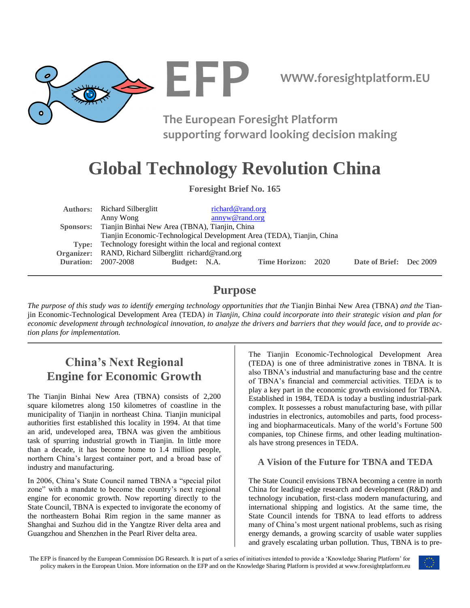

**The European Foresight Platform supporting forward looking decision making**

# **Global Technology Revolution China**

**Foresight Brief No. 165**

|  | <b>Authors:</b> Richard Silberglitt                                                                                                | richard@rand.org        |                      |        |                         |  |
|--|------------------------------------------------------------------------------------------------------------------------------------|-------------------------|----------------------|--------|-------------------------|--|
|  | Anny Wong                                                                                                                          | $\text{annvw@rand.org}$ |                      |        |                         |  |
|  | Sponsors: Tianjin Binhai New Area (TBNA), Tianjin, China<br>Tianjin Economic-Technological Development Area (TEDA), Tianjin, China |                         |                      |        |                         |  |
|  |                                                                                                                                    |                         |                      |        |                         |  |
|  | Type: Technology foresight within the local and regional context                                                                   |                         |                      |        |                         |  |
|  | Organizer: RAND, Richard Silberglitt richard@rand.org                                                                              |                         |                      |        |                         |  |
|  | <b>Duration: 2007-2008</b>                                                                                                         | Budget: N.A.            | <b>Time Horizon:</b> | -2020- | Date of Brief: Dec 2009 |  |
|  |                                                                                                                                    |                         |                      |        |                         |  |

### **Purpose**

*The purpose of this study was to identify emerging technology opportunities that the* Tianjin Binhai New Area (TBNA) *and the* Tianjin Economic-Technological Development Area (TEDA) *in Tianjin, China could incorporate into their strategic vision and plan for economic development through technological innovation, to analyze the drivers and barriers that they would face, and to provide action plans for implementation.*

# **China's Next Regional Engine for Economic Growth**

The Tianjin Binhai New Area (TBNA) consists of 2,200 square kilometres along 150 kilometres of coastline in the municipality of Tianjin in northeast China. Tianjin municipal authorities first established this locality in 1994. At that time an arid, undeveloped area, TBNA was given the ambitious task of spurring industrial growth in Tianjin. In little more than a decade, it has become home to 1.4 million people, northern China"s largest container port, and a broad base of industry and manufacturing.

In 2006, China"s State Council named TBNA a "special pilot zone" with a mandate to become the country"s next regional engine for economic growth. Now reporting directly to the State Council, TBNA is expected to invigorate the economy of the northeastern Bohai Rim region in the same manner as Shanghai and Suzhou did in the Yangtze River delta area and Guangzhou and Shenzhen in the Pearl River delta area.

The Tianjin Economic-Technological Development Area (TEDA) is one of three administrative zones in TBNA. It is also TBNA"s industrial and manufacturing base and the centre of TBNA"s financial and commercial activities. TEDA is to play a key part in the economic growth envisioned for TBNA. Established in 1984, TEDA is today a bustling industrial-park complex. It possesses a robust manufacturing base, with pillar industries in electronics, automobiles and parts, food processing and biopharmaceuticals. Many of the world"s Fortune 500 companies, top Chinese firms, and other leading multinationals have strong presences in TEDA.

### **A Vision of the Future for TBNA and TEDA**

The State Council envisions TBNA becoming a centre in north China for leading-edge research and development (R&D) and technology incubation, first-class modern manufacturing, and international shipping and logistics. At the same time, the State Council intends for TBNA to lead efforts to address many of China"s most urgent national problems, such as rising energy demands, a growing scarcity of usable water supplies and gravely escalating urban pollution. Thus, TBNA is to pre-

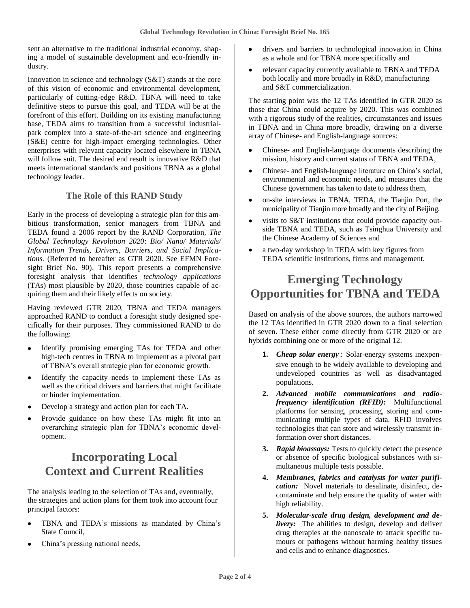sent an alternative to the traditional industrial economy, shaping a model of sustainable development and eco-friendly industry.

Innovation in science and technology (S&T) stands at the core of this vision of economic and environmental development, particularly of cutting-edge R&D. TBNA will need to take definitive steps to pursue this goal, and TEDA will be at the forefront of this effort. Building on its existing manufacturing base, TEDA aims to transition from a successful industrialpark complex into a state-of-the-art science and engineering (S&E) centre for high-impact emerging technologies. Other enterprises with relevant capacity located elsewhere in TBNA will follow suit. The desired end result is innovative R&D that meets international standards and positions TBNA as a global technology leader.

#### **The Role of this RAND Study**

Early in the process of developing a strategic plan for this ambitious transformation, senior managers from TBNA and TEDA found a 2006 report by the RAND Corporation, *The Global Technology Revolution 2020*: *Bio/ Nano/ Materials/ Information Trends, Drivers, Barriers, and Social Implications.* (Referred to hereafter as GTR 2020. See EFMN Foresight Brief No. 90). This report presents a comprehensive foresight analysis that identifies *technology applications*  (TAs) most plausible by 2020, those countries capable of acquiring them and their likely effects on society.

Having reviewed GTR 2020, TBNA and TEDA managers approached RAND to conduct a foresight study designed specifically for their purposes. They commissioned RAND to do the following:

- Identify promising emerging TAs for TEDA and other  $\bullet$ high-tech centres in TBNA to implement as a pivotal part of TBNA"s overall strategic plan for economic growth.
- Identify the capacity needs to implement these TAs as  $\bullet$ well as the critical drivers and barriers that might facilitate or hinder implementation.
- Develop a strategy and action plan for each TA.
- Provide guidance on how these TAs might fit into an overarching strategic plan for TBNA"s economic development.

# **Incorporating Local Context and Current Realities**

The analysis leading to the selection of TAs and, eventually, the strategies and action plans for them took into account four principal factors:

- TBNA and TEDA"s missions as mandated by China"s State Council,
- China"s pressing national needs,
- drivers and barriers to technological innovation in China as a whole and for TBNA more specifically and
- relevant capacity currently available to TBNA and TEDA both locally and more broadly in R&D, manufacturing and S&T commercialization.

The starting point was the 12 TAs identified in GTR 2020 as those that China could acquire by 2020. This was combined with a rigorous study of the realities, circumstances and issues in TBNA and in China more broadly, drawing on a diverse array of Chinese- and English-language sources:

- Chinese- and English-language documents describing the  $\bullet$ mission, history and current status of TBNA and TEDA,
- Chinese- and English-language literature on China"s social, environmental and economic needs, and measures that the Chinese government has taken to date to address them,
- $\bullet$ on-site interviews in TBNA, TEDA, the Tianjin Port, the municipality of Tianjin more broadly and the city of Beijing,
- visits to S&T institutions that could provide capacity outside TBNA and TEDA, such as Tsinghua University and the Chinese Academy of Sciences and
- a two-day workshop in TEDA with key figures from TEDA scientific institutions, firms and management.

# **Emerging Technology Opportunities for TBNA and TEDA**

Based on analysis of the above sources, the authors narrowed the 12 TAs identified in GTR 2020 down to a final selection of seven. These either come directly from GTR 2020 or are hybrids combining one or more of the original 12.

- **1.** *Cheap solar energy:* Solar-energy systems inexpensive enough to be widely available to developing and undeveloped countries as well as disadvantaged populations.
- **2.** *Advanced mobile communications and radiofrequency identification (RFID):* Multifunctional platforms for sensing, processing, storing and communicating multiple types of data. RFID involves technologies that can store and wirelessly transmit information over short distances.
- **3.** *Rapid bioassays:* Tests to quickly detect the presence or absence of specific biological substances with simultaneous multiple tests possible.
- **4.** *Membranes, fabrics and catalysts for water purification:* Novel materials to desalinate, disinfect, decontaminate and help ensure the quality of water with high reliability.
- **5.** *Molecular-scale drug design, development and delivery:* The abilities to design, develop and deliver drug therapies at the nanoscale to attack specific tumours or pathogens without harming healthy tissues and cells and to enhance diagnostics.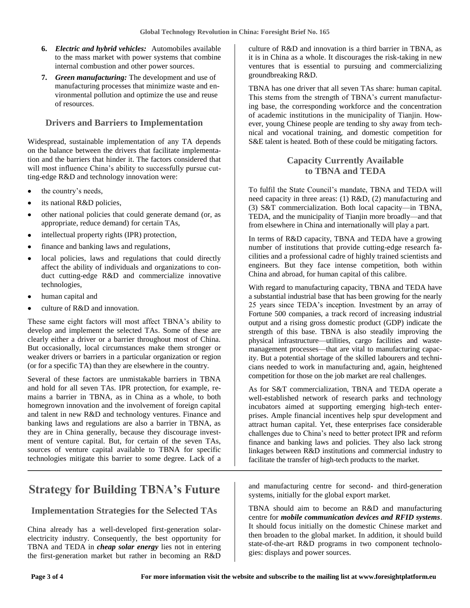- **6.** *Electric and hybrid vehicles:* Automobiles available to the mass market with power systems that combine internal combustion and other power sources.
- **7.** *Green manufacturing:* The development and use of manufacturing processes that minimize waste and environmental pollution and optimize the use and reuse of resources.

#### **Drivers and Barriers to Implementation**

Widespread, sustainable implementation of any TA depends on the balance between the drivers that facilitate implementation and the barriers that hinder it. The factors considered that will most influence China's ability to successfully pursue cutting-edge R&D and technology innovation were:

- the country"s needs,
- its national R&D policies,
- other national policies that could generate demand (or, as appropriate, reduce demand) for certain TAs,
- intellectual property rights (IPR) protection,
- finance and banking laws and regulations,
- local policies, laws and regulations that could directly affect the ability of individuals and organizations to conduct cutting-edge R&D and commercialize innovative technologies,
- human capital and
- culture of R&D and innovation.

These same eight factors will most affect TBNA"s ability to develop and implement the selected TAs. Some of these are clearly either a driver or a barrier throughout most of China. But occasionally, local circumstances make them stronger or weaker drivers or barriers in a particular organization or region (or for a specific TA) than they are elsewhere in the country.

Several of these factors are unmistakable barriers in TBNA and hold for all seven TAs. IPR protection, for example, remains a barrier in TBNA, as in China as a whole, to both homegrown innovation and the involvement of foreign capital and talent in new R&D and technology ventures. Finance and banking laws and regulations are also a barrier in TBNA, as they are in China generally, because they discourage investment of venture capital. But, for certain of the seven TAs, sources of venture capital available to TBNA for specific technologies mitigate this barrier to some degree. Lack of a

# **Strategy for Building TBNA's Future**

### **Implementation Strategies for the Selected TAs**

China already has a well-developed first-generation solarelectricity industry. Consequently, the best opportunity for TBNA and TEDA in *cheap solar energy* lies not in entering the first-generation market but rather in becoming an R&D

culture of R&D and innovation is a third barrier in TBNA, as it is in China as a whole. It discourages the risk-taking in new ventures that is essential to pursuing and commercializing groundbreaking R&D.

TBNA has one driver that all seven TAs share: human capital. This stems from the strength of TBNA"s current manufacturing base, the corresponding workforce and the concentration of academic institutions in the municipality of Tianjin. However, young Chinese people are tending to shy away from technical and vocational training, and domestic competition for S&E talent is heated. Both of these could be mitigating factors.

### **Capacity Currently Available to TBNA and TEDA**

To fulfil the State Council"s mandate, TBNA and TEDA will need capacity in three areas: (1) R&D, (2) manufacturing and (3) S&T commercialization. Both local capacity—in TBNA, TEDA, and the municipality of Tianjin more broadly—and that from elsewhere in China and internationally will play a part.

In terms of R&D capacity, TBNA and TEDA have a growing number of institutions that provide cutting-edge research facilities and a professional cadre of highly trained scientists and engineers. But they face intense competition, both within China and abroad, for human capital of this calibre.

With regard to manufacturing capacity, TBNA and TEDA have a substantial industrial base that has been growing for the nearly 25 years since TEDA"s inception. Investment by an array of Fortune 500 companies, a track record of increasing industrial output and a rising gross domestic product (GDP) indicate the strength of this base. TBNA is also steadily improving the physical infrastructure—utilities, cargo facilities and wastemanagement processes—that are vital to manufacturing capacity. But a potential shortage of the skilled labourers and technicians needed to work in manufacturing and, again, heightened competition for those on the job market are real challenges.

As for S&T commercialization, TBNA and TEDA operate a well-established network of research parks and technology incubators aimed at supporting emerging high-tech enterprises. Ample financial incentives help spur development and attract human capital. Yet, these enterprises face considerable challenges due to China"s need to better protect IPR and reform finance and banking laws and policies. They also lack strong linkages between R&D institutions and commercial industry to facilitate the transfer of high-tech products to the market.

and manufacturing centre for second- and third-generation systems, initially for the global export market.

TBNA should aim to become an R&D and manufacturing centre for *mobile communication devices and RFID systems*. It should focus initially on the domestic Chinese market and then broaden to the global market. In addition, it should build state-of-the-art R&D programs in two component technologies: displays and power sources.